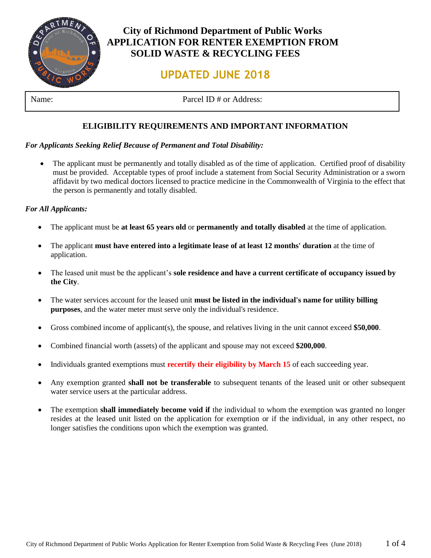

# **City of Richmond Department of Public Works APPLICATION FOR RENTER EXEMPTION FROM SOLID WASTE & RECYCLING FEES**

# **UPDATED JUNE 2018**

Name: Parcel ID # or Address:

## **ELIGIBILITY REQUIREMENTS AND IMPORTANT INFORMATION**

#### *For Applicants Seeking Relief Because of Permanent and Total Disability:*

 The applicant must be permanently and totally disabled as of the time of application. Certified proof of disability must be provided. Acceptable types of proof include a statement from Social Security Administration or a sworn affidavit by two medical doctors licensed to practice medicine in the Commonwealth of Virginia to the effect that the person is permanently and totally disabled.

#### *For All Applicants:*

- The applicant must be **at least 65 years old** or **permanently and totally disabled** at the time of application.
- The applicant **must have entered into a legitimate lease of at least 12 months' duration** at the time of application.
- The leased unit must be the applicant's **sole residence and have a current certificate of occupancy issued by the City**.
- The water services account for the leased unit **must be listed in the individual's name for utility billing purposes**, and the water meter must serve only the individual's residence.
- Gross combined income of applicant(s), the spouse, and relatives living in the unit cannot exceed **\$50,000**.
- Combined financial worth (assets) of the applicant and spouse may not exceed **\$200,000**.
- Individuals granted exemptions must **recertify their eligibility by March 15** of each succeeding year.
- Any exemption granted **shall not be transferable** to subsequent tenants of the leased unit or other subsequent water service users at the particular address.
- The exemption **shall immediately become void if** the individual to whom the exemption was granted no longer resides at the leased unit listed on the application for exemption or if the individual, in any other respect, no longer satisfies the conditions upon which the exemption was granted.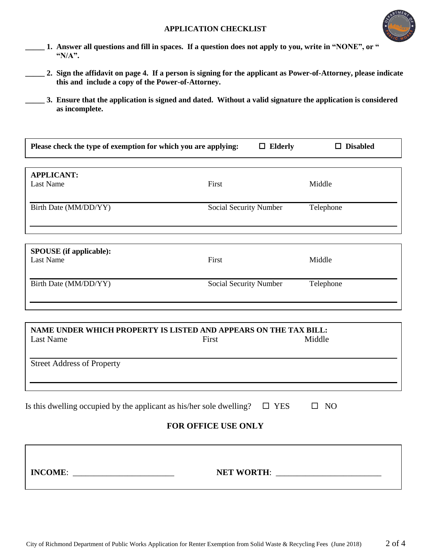#### **APPLICATION CHECKLIST**



- **\_\_\_\_\_ 1. Answer all questions and fill in spaces. If a question does not apply to you, write in "NONE", or " "N/A".**
- **\_\_\_\_\_ 2. Sign the affidavit on page 4. If a person is signing for the applicant as Power-of-Attorney, please indicate this and include a copy of the Power-of-Attorney.**
	- **\_\_\_\_\_ 3. Ensure that the application is signed and dated. Without a valid signature the application is considered as incomplete.**

| Please check the type of exemption for which you are applying:                                     |                               | $\Box$ Elderly | $\square$ Disabled |  |
|----------------------------------------------------------------------------------------------------|-------------------------------|----------------|--------------------|--|
|                                                                                                    |                               |                |                    |  |
| <b>APPLICANT:</b><br><b>Last Name</b>                                                              | First                         |                | Middle             |  |
| Birth Date (MM/DD/YY)                                                                              | <b>Social Security Number</b> |                | Telephone          |  |
| SPOUSE (if applicable):<br><b>Last Name</b>                                                        | First                         |                | Middle             |  |
|                                                                                                    |                               |                |                    |  |
| Birth Date (MM/DD/YY)                                                                              | <b>Social Security Number</b> |                | Telephone          |  |
|                                                                                                    |                               |                |                    |  |
|                                                                                                    |                               |                |                    |  |
| NAME UNDER WHICH PROPERTY IS LISTED AND APPEARS ON THE TAX BILL:<br><b>Last Name</b>               | First                         |                | Middle             |  |
| <b>Street Address of Property</b>                                                                  |                               |                |                    |  |
|                                                                                                    |                               |                |                    |  |
| Is this dwelling occupied by the applicant as his/her sole dwelling?<br>$\Box$ YES<br>$\square$ NO |                               |                |                    |  |
| FOR OFFICE USE ONLY                                                                                |                               |                |                    |  |
|                                                                                                    |                               |                |                    |  |
| INCOME:                                                                                            |                               |                |                    |  |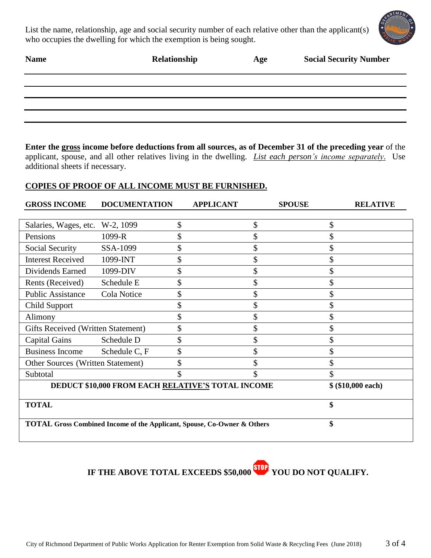List the name, relationship, age and social security number of each relative other than the applicant(s) who occupies the dwelling for which the exemption is being sought.



| <b>Name</b> | Relationship | Age | <b>Social Security Number</b> |
|-------------|--------------|-----|-------------------------------|
|             |              |     |                               |
|             |              |     |                               |
|             |              |     |                               |
|             |              |     |                               |
|             |              |     |                               |

**Enter the gross income before deductions from all sources, as of December 31 of the preceding year** of the applicant, spouse, and all other relatives living in the dwelling. *List each person's income separately*. Use additional sheets if necessary.

#### **COPIES OF PROOF OF ALL INCOME MUST BE FURNISHED.**

| <b>GROSS INCOME</b>                       | <b>DOCUMENTATION</b> | <b>APPLICANT</b>                                                                   | <b>SPOUSE</b> | <b>RELATIVE</b>     |
|-------------------------------------------|----------------------|------------------------------------------------------------------------------------|---------------|---------------------|
|                                           |                      |                                                                                    |               |                     |
| Salaries, Wages, etc.                     | W-2, 1099            | \$<br>\$                                                                           |               | \$                  |
| Pensions                                  | 1099-R               | \$                                                                                 |               |                     |
| Social Security                           | SSA-1099             | \$                                                                                 |               |                     |
| <b>Interest Received</b>                  | 1099-INT             | \$<br>\$                                                                           |               |                     |
| Dividends Earned                          | 1099-DIV             | \$<br>\$                                                                           |               |                     |
| Rents (Received)                          | Schedule E           | \$<br>\$                                                                           |               | \$                  |
| <b>Public Assistance</b>                  | Cola Notice          | \$<br>\$                                                                           |               |                     |
| <b>Child Support</b>                      |                      | \$<br>\$                                                                           |               | \$                  |
| Alimony                                   |                      | \$<br>\$                                                                           |               |                     |
| <b>Gifts Received (Written Statement)</b> |                      | \$                                                                                 |               |                     |
| <b>Capital Gains</b>                      | Schedule D           | \$<br>\$                                                                           |               | \$                  |
| <b>Business Income</b>                    | Schedule C, F        | \$                                                                                 |               |                     |
| <b>Other Sources (Written Statement)</b>  |                      | \$                                                                                 |               |                     |
| Subtotal                                  |                      |                                                                                    |               |                     |
|                                           |                      | DEDUCT \$10,000 FROM EACH RELATIVE'S TOTAL INCOME                                  |               | $$ (\$10,000 each)$ |
| <b>TOTAL</b>                              |                      |                                                                                    |               | \$                  |
|                                           |                      | <b>TOTAL Gross Combined Income of the Applicant, Spouse, Co-Owner &amp; Others</b> |               | \$                  |

**IF THE ABOVE TOTAL EXCEEDS \$50,000 YOU DO NOT QUALIFY.**